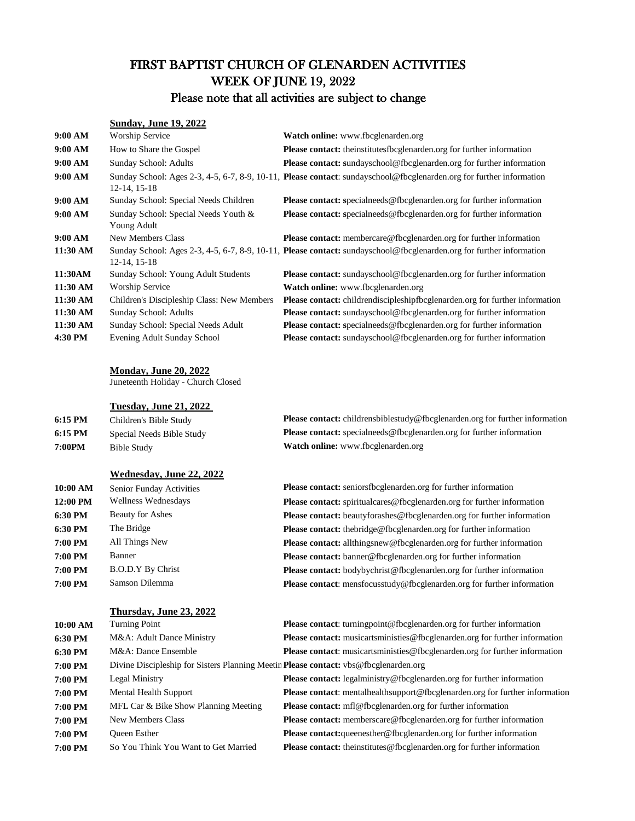# FIRST BAPTIST CHURCH OF GLENARDEN ACTIVITIES WEEK OF JUNE 19, 2022

# Please note that all activities are subject to change

#### **Sunday, June 19, 2022**

| 9:00 AM  | Worship Service                                     | Watch online: www.fbcglenarden.org                                                                                   |
|----------|-----------------------------------------------------|----------------------------------------------------------------------------------------------------------------------|
| 9:00 AM  | How to Share the Gospel                             | Please contact: theinstitutesfbcglenarden.org for further information                                                |
| 9:00 AM  | Sunday School: Adults                               | <b>Please contact:</b> sundayschool@fbcglenarden.org for further information                                         |
| 9:00 AM  | 12-14, 15-18                                        | Sunday School: Ages 2-3, 4-5, 6-7, 8-9, 10-11, Please contact: sundayschool@fbcglenarden.org for further information |
| 9:00 AM  | Sunday School: Special Needs Children               | <b>Please contact:</b> specialneeds@fbcglenarden.org for further information                                         |
| 9:00 AM  | Sunday School: Special Needs Youth &<br>Young Adult | <b>Please contact:</b> specialneeds@fbcglenarden.org for further information                                         |
| 9:00 AM  | <b>New Members Class</b>                            | <b>Please contact:</b> membercare@fbcglenarden.org for further information                                           |
| 11:30 AM | 12-14, 15-18                                        | Sunday School: Ages 2-3, 4-5, 6-7, 8-9, 10-11, Please contact: sundayschool@fbcglenarden.org for further information |
| 11:30AM  | Sunday School: Young Adult Students                 | <b>Please contact:</b> sundayschool@fbcglenarden.org for further information                                         |
| 11:30 AM | Worship Service                                     | <b>Watch online:</b> www.fbcglenarden.org                                                                            |
| 11:30 AM | Children's Discipleship Class: New Members          | <b>Please contact:</b> childrendiscipleshipfbcglenarden.org for further information                                  |
| 11:30 AM | Sunday School: Adults                               | <b>Please contact:</b> sundayschool@fbcglenarden.org for further information                                         |
| 11:30 AM | Sunday School: Special Needs Adult                  | <b>Please contact:</b> specialneeds@fbcglenarden.org for further information                                         |
| 4:30 PM  | Evening Adult Sunday School                         | <b>Please contact:</b> sundayschool@fbcglenarden.org for further information                                         |

#### **Monday, June 20, 2022**

Juneteenth Holiday - Church Closed

#### **Tuesday, June 21, 2022**

| $6:15$ PM | Children's Bible Study    | <b>Please contact:</b> childrensbiblestudy@fbcglenarden.org for further information |
|-----------|---------------------------|-------------------------------------------------------------------------------------|
| 6:15 PM   | Special Needs Bible Study | <b>Please contact:</b> specialneeds@fbcglenarden.org for further information        |
| 7:00PM    | Bible Study               | <b>Watch online:</b> www.fbcglenarden.org                                           |

### **Wednesday, June 22, 2022**

| 10:00 AM | <b>Senior Funday Activities</b> | Please contact: seniorsfbcglenarden.org for further information                |
|----------|---------------------------------|--------------------------------------------------------------------------------|
| 12:00 PM | Wellness Wednesdays             | Please contact: spiritualcares@fbcglenarden.org for further information        |
| 6:30 PM  | <b>Beauty for Ashes</b>         | <b>Please contact:</b> beautyforashes@fbcglenarden.org for further information |
| 6:30 PM  | The Bridge                      | Please contact: thebridge@fbcglenarden.org for further information             |
| 7:00 PM  | All Things New                  | Please contact: allthingsnew@fbcglenarden.org for further information          |
| 7:00 PM  | <b>Banner</b>                   | <b>Please contact:</b> banner@fbcglenarden.org for further information         |
| 7:00 PM  | <b>B.O.D.Y By Christ</b>        | <b>Please contact:</b> bodybychrist@fbcglenarden.org for further information   |
| 7:00 PM  | Samson Dilemma                  | <b>Please contact:</b> mensfocusstudy@fbcglenarden.org for further information |
|          |                                 |                                                                                |

#### **Thursday, June 23, 2022**

| 10:00 AM | <b>Turning Point</b>                                                                 | Please contact: turningpoint@fbcglenarden.org for further information               |
|----------|--------------------------------------------------------------------------------------|-------------------------------------------------------------------------------------|
| 6:30 PM  | M&A: Adult Dance Ministry                                                            | <b>Please contact:</b> musicartsministies @fbcglenarden.org for further information |
| 6:30 PM  | M&A: Dance Ensemble                                                                  | <b>Please contact:</b> musicartsministies@fbcglenarden.org for further information  |
| 7:00 PM  | Divine Discipleship for Sisters Planning Meetin Please contact: vbs@fbcglenarden.org |                                                                                     |
| 7:00 PM  | Legal Ministry                                                                       | <b>Please contact:</b> legalministry@fbcglenarden.org for further information       |
| 7:00 PM  | <b>Mental Health Support</b>                                                         | Please contact: mentalhealthsupport@fbcglenarden.org for further information        |
| 7:00 PM  | MFL Car & Bike Show Planning Meeting                                                 | <b>Please contact:</b> mfl@fbcglenarden.org for further information                 |
| 7:00 PM  | <b>New Members Class</b>                                                             | <b>Please contact:</b> memberscare@fbcglenarden.org for further information         |
| 7:00 PM  | <b>Oueen Esther</b>                                                                  | <b>Please contact:</b> queenesther@fbcglenarden.org for further information         |
| 7:00 PM  | So You Think You Want to Get Married                                                 | <b>Please contact:</b> the institutes @fbcglenarden.org for further information     |
|          |                                                                                      |                                                                                     |